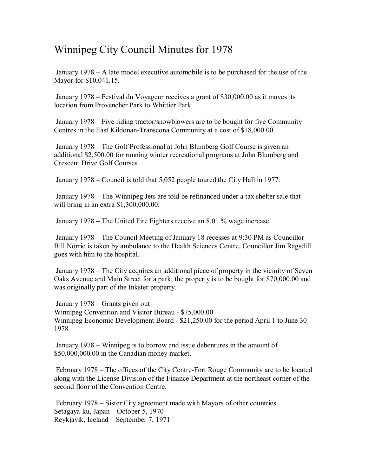# Winnipeg City Council Minutes for 1978

 January 1978 – A late model executive automobile is to be purchased for the use of the Mayor for \$10,041.15.

 January 1978 – Festival du Voyageur receives a grant of \$30,000.00 as it moves its location from Provencher Park to Whittier Park.

 January 1978 – Five riding tractor/snowblowers are to be bought for five Community Centres in the East Kildonan-Transcona Community at a cost of \$18,000.00.

 January 1978 – The Golf Professional at John Blumberg Golf Course is given an additional \$2,500.00 for running winter recreational programs at John Blumberg and Crescent Drive Golf Courses.

January 1978 – Council is told that 5,052 people toured the City Hall in 1977.

 January 1978 – The Winnipeg Jets are told be refinanced under a tax shelter sale that will bring in an extra \$1,300,000.00.

January 1978 – The United Fire Fighters receive an 8.01 % wage increase.

 January 1978 – The Council Meeting of January 18 recesses at 9:30 PM as Councillor Bill Norrie is taken by ambulance to the Health Sciences Centre. Councillor Jim Ragsdill goes with him to the hospital.

 January 1978 – The City acquires an additional piece of property in the vicinity of Seven Oaks Avenue and Main Street for a park; the property is to be bought for \$70,000.00 and was originally part of the Inkster property.

 January 1978 – Grants given out Winnipeg Convention and Visitor Bureau - \$75,000.00 Winnipeg Economic Development Board - \$21,250.00 for the period April 1 to June 30 1978

 January 1978 – Winnipeg is to borrow and issue debentures in the amount of \$50,000,000.00 in the Canadian money market.

 February 1978 – The offices of the City Centre-Fort Rouge Community are to be located along with the License Division of the Finance Department at the northeast corner of the second floor of the Convention Centre.

 February 1978 – Sister City agreement made with Mayors of other countries Setagaya-ku, Japan – October 5, 1970 Reykjavik, Iceland – September 7, 1971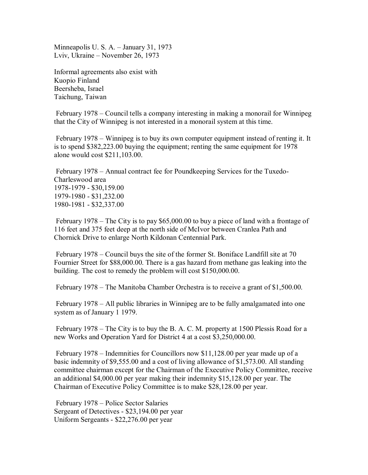Minneapolis U. S. A. – January 31, 1973 Lviv, Ukraine – November 26, 1973

Informal agreements also exist with Kuopio Finland Beersheba, Israel Taichung, Taiwan

 February 1978 – Council tells a company interesting in making a monorail for Winnipeg that the City of Winnipeg is not interested in a monorail system at this time.

 February 1978 – Winnipeg is to buy its own computer equipment instead of renting it. It is to spend \$382,223.00 buying the equipment; renting the same equipment for 1978 alone would cost \$211,103.00.

 February 1978 – Annual contract fee for Poundkeeping Services for the Tuxedo-Charleswood area 1978-1979 - \$30,159.00 1979-1980 - \$31,232.00 1980-1981 - \$32,337.00

 February 1978 – The City is to pay \$65,000.00 to buy a piece of land with a frontage of 116 feet and 375 feet deep at the north side of McIvor between Cranlea Path and Chornick Drive to enlarge North Kildonan Centennial Park.

 February 1978 – Council buys the site of the former St. Boniface Landfill site at 70 Fournier Street for \$88,000.00. There is a gas hazard from methane gas leaking into the building. The cost to remedy the problem will cost \$150,000.00.

February 1978 – The Manitoba Chamber Orchestra is to receive a grant of \$1,500.00.

 February 1978 – All public libraries in Winnipeg are to be fully amalgamated into one system as of January 1 1979.

 February 1978 – The City is to buy the B. A. C. M. property at 1500 Plessis Road for a new Works and Operation Yard for District 4 at a cost \$3,250,000.00.

 February 1978 – Indemnities for Councillors now \$11,128.00 per year made up of a basic indemnity of \$9,555.00 and a cost of living allowance of \$1,573.00. All standing committee chairman except for the Chairman of the Executive Policy Committee, receive an additional \$4,000.00 per year making their indemnity \$15,128.00 per year. The Chairman of Executive Policy Committee is to make \$28,128.00 per year.

 February 1978 – Police Sector Salaries Sergeant of Detectives - \$23,194.00 per year Uniform Sergeants - \$22,276.00 per year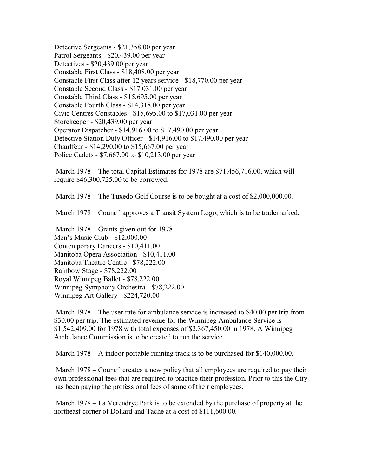Detective Sergeants - \$21,358.00 per year Patrol Sergeants - \$20,439.00 per year Detectives - \$20,439.00 per year Constable First Class - \$18,408.00 per year Constable First Class after 12 years service - \$18,770.00 per year Constable Second Class - \$17,031.00 per year Constable Third Class - \$15,695.00 per year Constable Fourth Class - \$14,318.00 per year Civic Centres Constables - \$15,695.00 to \$17,031.00 per year Storekeeper - \$20,439.00 per year Operator Dispatcher - \$14,916.00 to \$17,490.00 per year Detective Station Duty Officer - \$14,916.00 to \$17,490.00 per year Chauffeur - \$14,290.00 to \$15,667.00 per year Police Cadets - \$7,667.00 to \$10,213.00 per year

 March 1978 – The total Capital Estimates for 1978 are \$71,456,716.00, which will require \$46,300,725.00 to be borrowed.

March 1978 – The Tuxedo Golf Course is to be bought at a cost of \$2,000,000.00.

March 1978 – Council approves a Transit System Logo, which is to be trademarked.

 March 1978 – Grants given out for 1978 Men's Music Club - \$12,000.00 Contemporary Dancers - \$10,411.00 Manitoba Opera Association - \$10,411.00 Manitoba Theatre Centre - \$78,222.00 Rainbow Stage - \$78,222.00 Royal Winnipeg Ballet - \$78,222.00 Winnipeg Symphony Orchestra - \$78,222.00 Winnipeg Art Gallery - \$224,720.00

 March 1978 – The user rate for ambulance service is increased to \$40.00 per trip from \$30.00 per trip. The estimated revenue for the Winnipeg Ambulance Service is \$1,542,409.00 for 1978 with total expenses of \$2,367,450.00 in 1978. A Winnipeg Ambulance Commission is to be created to run the service.

March 1978 – A indoor portable running track is to be purchased for \$140,000.00.

March 1978 – Council creates a new policy that all employees are required to pay their own professional fees that are required to practice their profession. Prior to this the City has been paying the professional fees of some of their employees.

 March 1978 – La Verendrye Park is to be extended by the purchase of property at the northeast corner of Dollard and Tache at a cost of \$111,600.00.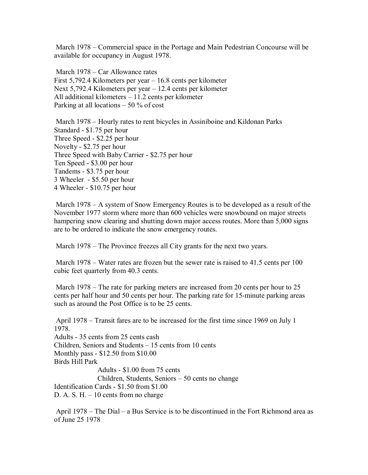March 1978 – Commercial space in the Portage and Main Pedestrian Concourse will be available for occupancy in August 1978.

 March 1978 – Car Allowance rates First 5,792.4 Kilometers per year – 16.8 cents per kilometer Next 5,792.4 Kilometers per year – 12.4 cents per kilometer All additional kilometers – 11.2 cents per kilometer Parking at all locations  $-50\%$  of cost

 March 1978 – Hourly rates to rent bicycles in Assiniboine and Kildonan Parks Standard - \$1.75 per hour Three Speed - \$2.25 per hour Novelty - \$2.75 per hour Three Speed with Baby Carrier - \$2.75 per hour Ten Speed - \$3.00 per hour Tandems - \$3.75 per hour 3 Wheeler - \$5.50 per hour 4 Wheeler - \$10.75 per hour

 March 1978 – A system of Snow Emergency Routes is to be developed as a result of the November 1977 storm where more than 600 vehicles were snowbound on major streets hampering snow clearing and shutting down major access routes. More than 5,000 signs are to be ordered to indicate the snow emergency routes.

March 1978 – The Province freezes all City grants for the next two years.

March 1978 – Water rates are frozen but the sewer rate is raised to 41.5 cents per 100 cubic feet quarterly from 40.3 cents.

March 1978 – The rate for parking meters are increased from 20 cents per hour to 25 cents per half hour and 50 cents per hour. The parking rate for 15-minute parking areas such as around the Post Office is to be 25 cents.

 April 1978 – Transit fares are to be increased for the first time since 1969 on July 1 1978. Adults - 35 cents from 25 cents cash Children, Seniors and Students – 15 cents from 10 cents Monthly pass - \$12.50 from \$10.00 Birds Hill Park Adults - \$1.00 from 75 cents Children, Students, Seniors – 50 cents no change Identification Cards - \$1.50 from \$1.00 D. A. S.  $H - 10$  cents from no charge

 April 1978 – The Dial – a Bus Service is to be discontinued in the Fort Richmond area as of June 25 1978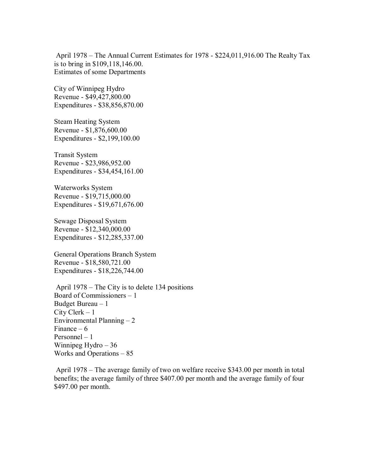April 1978 – The Annual Current Estimates for 1978 - \$224,011,916.00 The Realty Tax is to bring in \$109,118,146.00. Estimates of some Departments

City of Winnipeg Hydro Revenue - \$49,427,800.00 Expenditures - \$38,856,870.00

Steam Heating System Revenue - \$1,876,600.00 Expenditures - \$2,199,100.00

Transit System Revenue - \$23,986,952.00 Expenditures - \$34,454,161.00

Waterworks System Revenue - \$19,715,000.00 Expenditures - \$19,671,676.00

Sewage Disposal System Revenue - \$12,340,000.00 Expenditures - \$12,285,337.00

General Operations Branch System Revenue - \$18,580,721.00 Expenditures - \$18,226,744.00

 April 1978 – The City is to delete 134 positions Board of Commissioners – 1 Budget Bureau – 1 City Clerk – 1 Environmental Planning  $-2$ Finance  $-6$ Personnel – 1 Winnipeg Hydro – 36 Works and Operations – 85

 April 1978 – The average family of two on welfare receive \$343.00 per month in total benefits; the average family of three \$407.00 per month and the average family of four \$497.00 per month.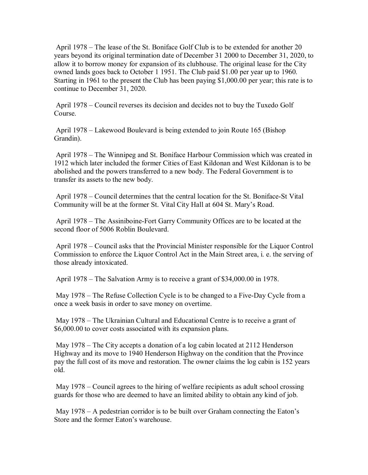April 1978 – The lease of the St. Boniface Golf Club is to be extended for another 20 years beyond its original termination date of December 31 2000 to December 31, 2020, to allow it to borrow money for expansion of its clubhouse. The original lease for the City owned lands goes back to October 1 1951. The Club paid \$1.00 per year up to 1960. Starting in 1961 to the present the Club has been paying \$1,000.00 per year; this rate is to continue to December 31, 2020.

 April 1978 – Council reverses its decision and decides not to buy the Tuxedo Golf Course.

 April 1978 – Lakewood Boulevard is being extended to join Route 165 (Bishop Grandin).

 April 1978 – The Winnipeg and St. Boniface Harbour Commission which was created in 1912 which later included the former Cities of East Kildonan and West Kildonan is to be abolished and the powers transferred to a new body. The Federal Government is to transfer its assets to the new body.

 April 1978 – Council determines that the central location for the St. Boniface-St Vital Community will be at the former St. Vital City Hall at 604 St. Mary's Road.

 April 1978 – The Assiniboine-Fort Garry Community Offices are to be located at the second floor of 5006 Roblin Boulevard.

 April 1978 – Council asks that the Provincial Minister responsible for the Liquor Control Commission to enforce the Liquor Control Act in the Main Street area, i. e. the serving of those already intoxicated.

April 1978 – The Salvation Army is to receive a grant of \$34,000.00 in 1978.

 May 1978 – The Refuse Collection Cycle is to be changed to a Five-Day Cycle from a once a week basis in order to save money on overtime.

 May 1978 – The Ukrainian Cultural and Educational Centre is to receive a grant of \$6,000.00 to cover costs associated with its expansion plans.

 May 1978 – The City accepts a donation of a log cabin located at 2112 Henderson Highway and its move to 1940 Henderson Highway on the condition that the Province pay the full cost of its move and restoration. The owner claims the log cabin is 152 years old.

 May 1978 – Council agrees to the hiring of welfare recipients as adult school crossing guards for those who are deemed to have an limited ability to obtain any kind of job.

 May 1978 – A pedestrian corridor is to be built over Graham connecting the Eaton's Store and the former Eaton's warehouse.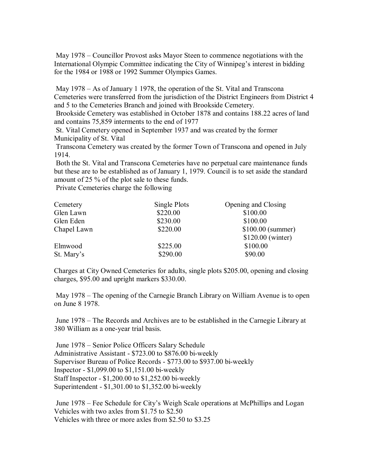May 1978 – Councillor Provost asks Mayor Steen to commence negotiations with the International Olympic Committee indicating the City of Winnipeg's interest in bidding for the 1984 or 1988 or 1992 Summer Olympics Games.

 May 1978 – As of January 1 1978, the operation of the St. Vital and Transcona Cemeteries were transferred from the jurisdiction of the District Engineers from District 4 and 5 to the Cemeteries Branch and joined with Brookside Cemetery.

 Brookside Cemetery was established in October 1878 and contains 188.22 acres of land and contains 75,859 interments to the end of 1977

 St. Vital Cemetery opened in September 1937 and was created by the former Municipality of St. Vital

 Transcona Cemetery was created by the former Town of Transcona and opened in July 1914.

 Both the St. Vital and Transcona Cemeteries have no perpetual care maintenance funds but these are to be established as of January 1, 1979. Council is to set aside the standard amount of 25 % of the plot sale to these funds.

Private Cemeteries charge the following

| Cemetery    | Single Plots | Opening and Closing |
|-------------|--------------|---------------------|
| Glen Lawn   | \$220.00     | \$100.00            |
| Glen Eden   | \$230.00     | \$100.00            |
| Chapel Lawn | \$220.00     | $$100.00$ (summer)  |
|             |              | \$120.00 (winter)   |
| Elmwood     | \$225.00     | \$100.00            |
| St. Mary's  | \$290.00     | \$90.00             |

Charges at City Owned Cemeteries for adults, single plots \$205.00, opening and closing charges, \$95.00 and upright markers \$330.00.

 May 1978 – The opening of the Carnegie Branch Library on William Avenue is to open on June 8 1978.

 June 1978 – The Records and Archives are to be established in the Carnegie Library at 380 William as a one-year trial basis.

 June 1978 – Senior Police Officers Salary Schedule Administrative Assistant - \$723.00 to \$876.00 bi-weekly Supervisor Bureau of Police Records - \$773.00 to \$937.00 bi-weekly Inspector - \$1,099.00 to \$1,151.00 bi-weekly Staff Inspector - \$1,200.00 to \$1,252.00 bi-weekly Superintendent - \$1,301.00 to \$1,352.00 bi-weekly

 June 1978 – Fee Schedule for City's Weigh Scale operations at McPhillips and Logan Vehicles with two axles from \$1.75 to \$2.50 Vehicles with three or more axles from \$2.50 to \$3.25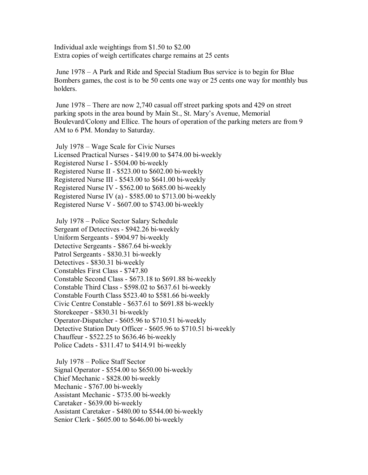Individual axle weightings from \$1.50 to \$2.00 Extra copies of weigh certificates charge remains at 25 cents

 June 1978 – A Park and Ride and Special Stadium Bus service is to begin for Blue Bombers games, the cost is to be 50 cents one way or 25 cents one way for monthly bus holders.

 June 1978 – There are now 2,740 casual off street parking spots and 429 on street parking spots in the area bound by Main St., St. Mary's Avenue, Memorial Boulevard/Colony and Ellice. The hours of operation of the parking meters are from 9 AM to 6 PM. Monday to Saturday.

 July 1978 – Wage Scale for Civic Nurses Licensed Practical Nurses - \$419.00 to \$474.00 bi-weekly Registered Nurse I - \$504.00 bi-weekly Registered Nurse II - \$523.00 to \$602.00 bi-weekly Registered Nurse III - \$543.00 to \$641.00 bi-weekly Registered Nurse IV - \$562.00 to \$685.00 bi-weekly Registered Nurse IV (a) - \$585.00 to \$713.00 bi-weekly Registered Nurse V - \$607.00 to \$743.00 bi-weekly

 July 1978 – Police Sector Salary Schedule Sergeant of Detectives - \$942.26 bi-weekly Uniform Sergeants - \$904.97 bi-weekly Detective Sergeants - \$867.64 bi-weekly Patrol Sergeants - \$830.31 bi-weekly Detectives - \$830.31 bi-weekly Constables First Class - \$747.80 Constable Second Class - \$673.18 to \$691.88 bi-weekly Constable Third Class - \$598.02 to \$637.61 bi-weekly Constable Fourth Class \$523.40 to \$581.66 bi-weekly Civic Centre Constable - \$637.61 to \$691.88 bi-weekly Storekeeper - \$830.31 bi-weekly Operator-Dispatcher - \$605.96 to \$710.51 bi-weekly Detective Station Duty Officer - \$605.96 to \$710.51 bi-weekly Chauffeur - \$522.25 to \$636.46 bi-weekly Police Cadets - \$311.47 to \$414.91 bi-weekly

 July 1978 – Police Staff Sector Signal Operator - \$554.00 to \$650.00 bi-weekly Chief Mechanic - \$828.00 bi-weekly Mechanic - \$767.00 bi-weekly Assistant Mechanic - \$735.00 bi-weekly Caretaker - \$639.00 bi-weekly Assistant Caretaker - \$480.00 to \$544.00 bi-weekly Senior Clerk - \$605.00 to \$646.00 bi-weekly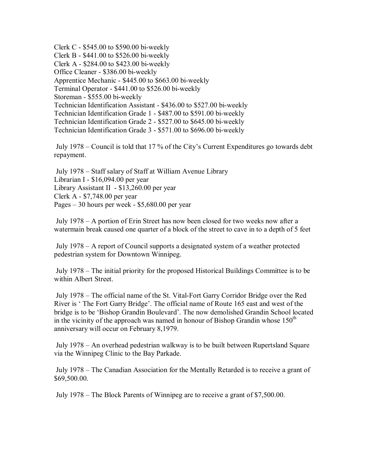Clerk C - \$545.00 to \$590.00 bi-weekly Clerk B - \$441.00 to \$526.00 bi-weekly Clerk A - \$284.00 to \$423.00 bi-weekly Office Cleaner - \$386.00 bi-weekly Apprentice Mechanic - \$445.00 to \$663.00 bi-weekly Terminal Operator - \$441.00 to \$526.00 bi-weekly Storeman - \$555.00 bi-weekly Technician Identification Assistant - \$436.00 to \$527.00 bi-weekly Technician Identification Grade 1 - \$487.00 to \$591.00 bi-weekly Technician Identification Grade 2 - \$527.00 to \$645.00 bi-weekly Technician Identification Grade 3 - \$571.00 to \$696.00 bi-weekly

 July 1978 – Council is told that 17 % of the City's Current Expenditures go towards debt repayment.

 July 1978 – Staff salary of Staff at William Avenue Library Librarian I - \$16,094.00 per year Library Assistant II - \$13,260.00 per year Clerk A - \$7,748.00 per year Pages – 30 hours per week - \$5,680.00 per year

 July 1978 – A portion of Erin Street has now been closed for two weeks now after a watermain break caused one quarter of a block of the street to cave in to a depth of 5 feet

 July 1978 – A report of Council supports a designated system of a weather protected pedestrian system for Downtown Winnipeg.

 July 1978 – The initial priority for the proposed Historical Buildings Committee is to be within Albert Street.

 July 1978 – The official name of the St. Vital-Fort Garry Corridor Bridge over the Red River is ' The Fort Garry Bridge'. The official name of Route 165 east and west of the bridge is to be 'Bishop Grandin Boulevard'. The now demolished Grandin School located in the vicinity of the approach was named in honour of Bishop Grandin whose  $150<sup>th</sup>$ anniversary will occur on February 8,1979.

 July 1978 – An overhead pedestrian walkway is to be built between Rupertsland Square via the Winnipeg Clinic to the Bay Parkade.

 July 1978 – The Canadian Association for the Mentally Retarded is to receive a grant of \$69,500.00.

July 1978 – The Block Parents of Winnipeg are to receive a grant of \$7,500.00.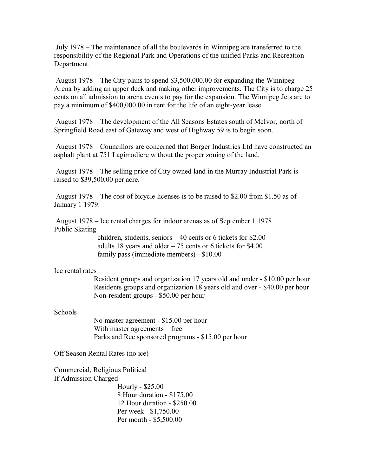July 1978 – The maintenance of all the boulevards in Winnipeg are transferred to the responsibility of the Regional Park and Operations of the unified Parks and Recreation Department.

 August 1978 – The City plans to spend \$3,500,000.00 for expanding the Winnipeg Arena by adding an upper deck and making other improvements. The City is to charge 25 cents on all admission to arena events to pay for the expansion. The Winnipeg Jets are to pay a minimum of \$400,000.00 in rent for the life of an eight-year lease.

 August 1978 – The development of the All Seasons Estates south of McIvor, north of Springfield Road east of Gateway and west of Highway 59 is to begin soon.

 August 1978 – Councillors are concerned that Borger Industries Ltd have constructed an asphalt plant at 751 Lagimodiere without the proper zoning of the land.

 August 1978 – The selling price of City owned land in the Murray Industrial Park is raised to \$39,500.00 per acre.

 August 1978 – The cost of bicycle licenses is to be raised to \$2.00 from \$1.50 as of January 1 1979.

 August 1978 – Ice rental charges for indoor arenas as of September 1 1978 Public Skating

> children, students, seniors – 40 cents or 6 tickets for \$2.00 adults 18 years and older – 75 cents or 6 tickets for \$4.00 family pass (immediate members) - \$10.00

### Ice rental rates

 Resident groups and organization 17 years old and under - \$10.00 per hour Residents groups and organization 18 years old and over - \$40.00 per hour Non-resident groups - \$50.00 per hour

#### Schools

 No master agreement - \$15.00 per hour With master agreements – free Parks and Rec sponsored programs - \$15.00 per hour

Off Season Rental Rates (no ice)

Commercial, Religious Political If Admission Charged

> Hourly - \$25.00 8 Hour duration - \$175.00 12 Hour duration - \$250.00 Per week - \$1,750.00 Per month - \$5,500.00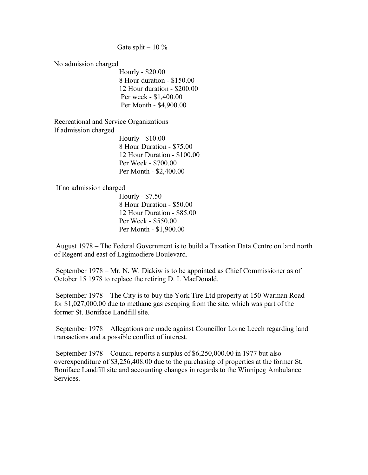### Gate split  $-10\%$

No admission charged

 Hourly - \$20.00 8 Hour duration - \$150.00 12 Hour duration - \$200.00 Per week - \$1,400.00 Per Month - \$4,900.00

Recreational and Service Organizations If admission charged

 Hourly - \$10.00 8 Hour Duration - \$75.00 12 Hour Duration - \$100.00 Per Week - \$700.00 Per Month - \$2,400.00

If no admission charged

 Hourly - \$7.50 8 Hour Duration - \$50.00 12 Hour Duration - \$85.00 Per Week - \$550.00 Per Month - \$1,900.00

 August 1978 – The Federal Government is to build a Taxation Data Centre on land north of Regent and east of Lagimodiere Boulevard.

 September 1978 – Mr. N. W. Diakiw is to be appointed as Chief Commissioner as of October 15 1978 to replace the retiring D. I. MacDonald.

 September 1978 – The City is to buy the York Tire Ltd property at 150 Warman Road for \$1,027,000.00 due to methane gas escaping from the site, which was part of the former St. Boniface Landfill site.

 September 1978 – Allegations are made against Councillor Lorne Leech regarding land transactions and a possible conflict of interest.

 September 1978 – Council reports a surplus of \$6,250,000.00 in 1977 but also overexpenditure of \$3,256,408.00 due to the purchasing of properties at the former St. Boniface Landfill site and accounting changes in regards to the Winnipeg Ambulance Services.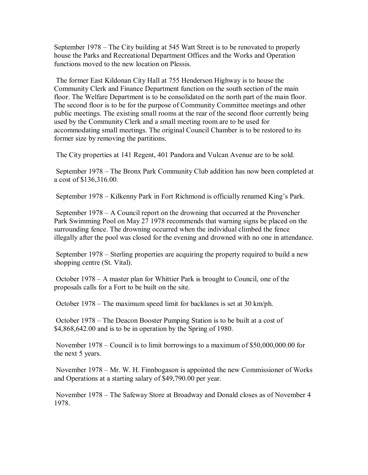September 1978 – The City building at 545 Watt Street is to be renovated to properly house the Parks and Recreational Department Offices and the Works and Operation functions moved to the new location on Plessis.

 The former East Kildonan City Hall at 755 Henderson Highway is to house the Community Clerk and Finance Department function on the south section of the main floor. The Welfare Department is to be consolidated on the north part of the main floor. The second floor is to be for the purpose of Community Committee meetings and other public meetings. The existing small rooms at the rear of the second floor currently being used by the Community Clerk and a small meeting room are to be used for accommodating small meetings. The original Council Chamber is to be restored to its former size by removing the partitions.

The City properties at 141 Regent, 401 Pandora and Vulcan Avenue are to be sold.

 September 1978 – The Bronx Park Community Club addition has now been completed at a cost of \$136,316.00.

September 1978 – Kilkenny Park in Fort Richmond is officially renamed King's Park.

 September 1978 – A Council report on the drowning that occurred at the Provencher Park Swimming Pool on May 27 1978 recommends that warning signs be placed on the surrounding fence. The drowning occurred when the individual climbed the fence illegally after the pool was closed for the evening and drowned with no one in attendance.

 September 1978 – Sterling properties are acquiring the property required to build a new shopping centre (St. Vital).

 October 1978 – A master plan for Whittier Park is brought to Council, one of the proposals calls for a Fort to be built on the site.

October 1978 – The maximum speed limit for backlanes is set at 30 km/ph.

 October 1978 – The Deacon Booster Pumping Station is to be built at a cost of \$4,868,642.00 and is to be in operation by the Spring of 1980.

 November 1978 – Council is to limit borrowings to a maximum of \$50,000,000.00 for the next 5 years.

 November 1978 – Mr. W. H. Finnbogason is appointed the new Commissioner of Works and Operations at a starting salary of \$49,790.00 per year.

 November 1978 – The Safeway Store at Broadway and Donald closes as of November 4 1978.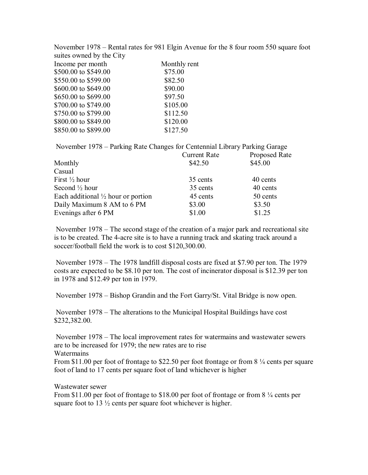November 1978 – Rental rates for 981 Elgin Avenue for the 8 four room 550 square foot suites owned by the City Income per month Monthly rent \$500.00 to \$549.00 \$75.00 \$550.00 to \$599.00 \$82.50 \$600.00 to \$649.00 \$90.00 \$650.00 to \$699.00 \$97.50 \$700.00 to \$749.00 \$105.00 \$750.00 to \$799.00 \$112.50 \$800.00 to \$849.00 \$120.00 \$850.00 to \$899.00 \$127.50

November 1978 – Parking Rate Changes for Centennial Library Parking Garage

|                                               | <b>Current Rate</b> | Proposed Rate |
|-----------------------------------------------|---------------------|---------------|
| Monthly                                       | \$42.50             | \$45.00       |
| Casual                                        |                     |               |
| First $\frac{1}{2}$ hour                      | 35 cents            | 40 cents      |
| Second $\frac{1}{2}$ hour                     | 35 cents            | 40 cents      |
| Each additional $\frac{1}{2}$ hour or portion | 45 cents            | 50 cents      |
| Daily Maximum 8 AM to 6 PM                    | \$3.00              | \$3.50        |
| Evenings after 6 PM                           | \$1.00              | \$1.25        |

 November 1978 – The second stage of the creation of a major park and recreational site is to be created. The 4-acre site is to have a running track and skating track around a soccer/football field the work is to cost \$120,300.00.

 November 1978 – The 1978 landfill disposal costs are fixed at \$7.90 per ton. The 1979 costs are expected to be \$8.10 per ton. The cost of incinerator disposal is \$12.39 per ton in 1978 and \$12.49 per ton in 1979.

November 1978 – Bishop Grandin and the Fort Garry/St. Vital Bridge is now open.

 November 1978 – The alterations to the Municipal Hospital Buildings have cost \$232,382.00.

 November 1978 – The local improvement rates for watermains and wastewater sewers are to be increased for 1979; the new rates are to rise **Watermains** 

From \$11.00 per foot of frontage to \$22.50 per foot frontage or from 8 ¼ cents per square foot of land to 17 cents per square foot of land whichever is higher

Wastewater sewer

From \$11.00 per foot of frontage to \$18.00 per foot of frontage or from 8  $\frac{1}{4}$  cents per square foot to  $13\frac{1}{2}$  cents per square foot whichever is higher.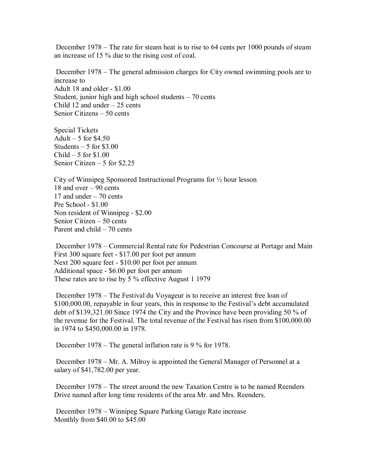December 1978 – The rate for steam heat is to rise to 64 cents per 1000 pounds of steam an increase of 15 % due to the rising cost of coal.

 December 1978 – The general admission charges for City owned swimming pools are to increase to Adult 18 and older - \$1.00 Student, junior high and high school students – 70 cents Child 12 and under  $-25$  cents Senior Citizens – 50 cents

Special Tickets Adult  $-5$  for \$4.50 Students  $-5$  for \$3.00  $Child - 5$  for \$1.00 Senior Citizen – 5 for \$2.25

City of Winnipeg Sponsored Instructional Programs for ½ hour lesson 18 and over – 90 cents 17 and under – 70 cents Pre School - \$1.00 Non resident of Winnipeg - \$2.00 Senior Citizen – 50 cents Parent and child – 70 cents

 December 1978 – Commercial Rental rate for Pedestrian Concourse at Portage and Main First 300 square feet - \$17.00 per foot per annum Next 200 square feet - \$10.00 per foot per annum Additional space - \$6.00 per foot per annum These rates are to rise by 5 % effective August 1 1979

 December 1978 – The Festival du Voyageur is to receive an interest free loan of \$100,000.00, repayable in four years, this in response to the Festival's debt accumulated debt of \$139,321.00 Since 1974 the City and the Province have been providing 50 % of the revenue for the Festival. The total revenue of the Festival has risen from \$100,000.00 in 1974 to \$450,000.00 in 1978.

December 1978 – The general inflation rate is 9 % for 1978.

 December 1978 – Mr. A. Milroy is appointed the General Manager of Personnel at a salary of \$41,782.00 per year.

 December 1978 – The street around the new Taxation Centre is to be named Reenders Drive named after long time residents of the area Mr. and Mrs. Reenders.

 December 1978 – Winnipeg Square Parking Garage Rate increase Monthly from \$40.00 to \$45.00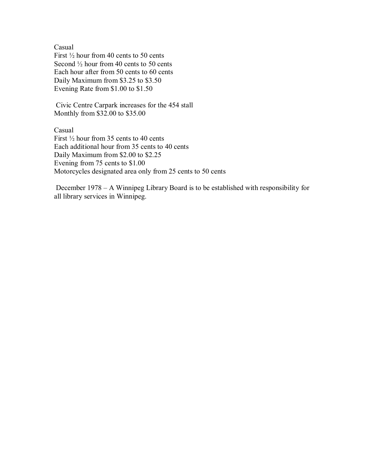Casual

First  $\frac{1}{2}$  hour from 40 cents to 50 cents Second  $\frac{1}{2}$  hour from 40 cents to 50 cents Each hour after from 50 cents to 60 cents Daily Maximum from \$3.25 to \$3.50 Evening Rate from \$1.00 to \$1.50

 Civic Centre Carpark increases for the 454 stall Monthly from \$32.00 to \$35.00

Casual First  $\frac{1}{2}$  hour from 35 cents to 40 cents Each additional hour from 35 cents to 40 cents Daily Maximum from \$2.00 to \$2.25 Evening from 75 cents to \$1.00 Motorcycles designated area only from 25 cents to 50 cents

 December 1978 – A Winnipeg Library Board is to be established with responsibility for all library services in Winnipeg.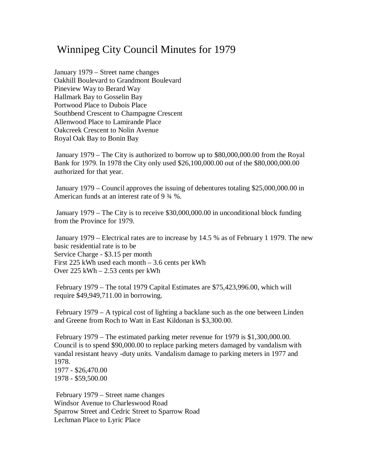## Winnipeg City Council Minutes for 1979

January 1979 – Street name changes Oakhill Boulevard to Grandmont Boulevard Pineview Way to Berard Way Hallmark Bay to Gosselin Bay Portwood Place to Dubois Place Southbend Crescent to Champagne Crescent Allenwood Place to Lamirande Place Oakcreek Crescent to Nolin Avenue Royal Oak Bay to Bonin Bay

January 1979 – The City is authorized to borrow up to \$80,000,000.00 from the Royal Bank for 1979. In 1978 the City only used \$26,100,000.00 out of the \$80,000,000.00 authorized for that year.

January 1979 – Council approves the issuing of debentures totaling \$25,000,000.00 in American funds at an interest rate of 9 ¾ %.

January 1979 – The City is to receive \$30,000,000.00 in unconditional block funding from the Province for 1979.

January 1979 – Electrical rates are to increase by 14.5 % as of February 1 1979. The new basic residential rate is to be Service Charge - \$3.15 per month First 225 kWh used each month – 3.6 cents per kWh Over 225 kWh – 2.53 cents per kWh

February 1979 – The total 1979 Capital Estimates are \$75,423,996.00, which will require \$49,949,711.00 in borrowing.

February 1979 – A typical cost of lighting a backlane such as the one between Linden and Greene from Roch to Watt in East Kildonan is \$3,300.00.

February 1979 – The estimated parking meter revenue for 1979 is \$1,300,000.00. Council is to spend \$90,000.00 to replace parking meters damaged by vandalism with vandal resistant heavy -duty units. Vandalism damage to parking meters in 1977 and 1978. 1977 - \$26,470.00

1978 - \$59,500.00

February 1979 – Street name changes Windsor Avenue to Charleswood Road Sparrow Street and Cedric Street to Sparrow Road Lechman Place to Lyric Place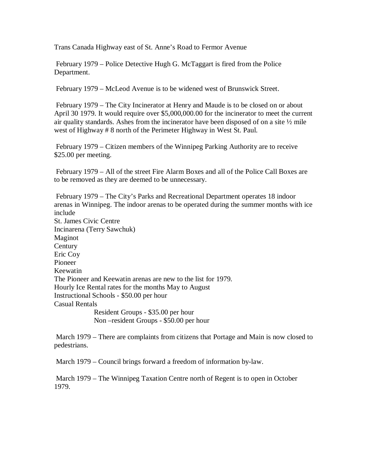Trans Canada Highway east of St. Anne's Road to Fermor Avenue

February 1979 – Police Detective Hugh G. McTaggart is fired from the Police Department.

February 1979 – McLeod Avenue is to be widened west of Brunswick Street.

February 1979 – The City Incinerator at Henry and Maude is to be closed on or about April 30 1979. It would require over \$5,000,000.00 for the incinerator to meet the current air quality standards. Ashes from the incinerator have been disposed of on a site  $\frac{1}{2}$  mile west of Highway # 8 north of the Perimeter Highway in West St. Paul.

February 1979 – Citizen members of the Winnipeg Parking Authority are to receive \$25.00 per meeting.

February 1979 – All of the street Fire Alarm Boxes and all of the Police Call Boxes are to be removed as they are deemed to be unnecessary.

February 1979 – The City's Parks and Recreational Department operates 18 indoor arenas in Winnipeg. The indoor arenas to be operated during the summer months with ice include St. James Civic Centre Incinarena (Terry Sawchuk) Maginot **Century** Eric Coy Pioneer Keewatin The Pioneer and Keewatin arenas are new to the list for 1979. Hourly Ice Rental rates for the months May to August Instructional Schools - \$50.00 per hour Casual Rentals Resident Groups - \$35.00 per hour Non –resident Groups - \$50.00 per hour

March 1979 – There are complaints from citizens that Portage and Main is now closed to pedestrians.

March 1979 – Council brings forward a freedom of information by-law.

March 1979 – The Winnipeg Taxation Centre north of Regent is to open in October 1979.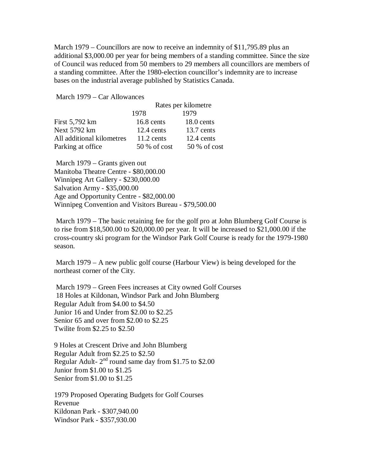March 1979 – Councillors are now to receive an indemnity of \$11,795.89 plus an additional \$3,000.00 per year for being members of a standing committee. Since the size of Council was reduced from 50 members to 29 members all councillors are members of a standing committee. After the 1980-election councillor's indemnity are to increase bases on the industrial average published by Statistics Canada.

March 1979 – Car Allowances

|                           | Rates per kilometre |              |
|---------------------------|---------------------|--------------|
|                           | 1978                | 1979         |
| First 5,792 km            | 16.8 cents          | $18.0$ cents |
| Next 5792 km              | $12.4$ cents        | 13.7 cents   |
| All additional kilometres | $11.2$ cents        | $12.4$ cents |
| Parking at office         | 50 % of cost        | 50 % of cost |

March 1979 – Grants given out Manitoba Theatre Centre - \$80,000.00 Winnipeg Art Gallery - \$230,000.00 Salvation Army - \$35,000.00 Age and Opportunity Centre - \$82,000.00 Winnipeg Convention and Visitors Bureau - \$79,500.00

March 1979 – The basic retaining fee for the golf pro at John Blumberg Golf Course is to rise from \$18,500.00 to \$20,000.00 per year. It will be increased to \$21,000.00 if the cross-country ski program for the Windsor Park Golf Course is ready for the 1979-1980 season.

March 1979 – A new public golf course (Harbour View) is being developed for the northeast corner of the City.

March 1979 – Green Fees increases at City owned Golf Courses 18 Holes at Kildonan, Windsor Park and John Blumberg Regular Adult from \$4.00 to \$4.50 Junior 16 and Under from \$2.00 to \$2.25 Senior 65 and over from \$2.00 to \$2.25 Twilite from \$2.25 to \$2.50

9 Holes at Crescent Drive and John Blumberg Regular Adult from \$2.25 to \$2.50 Regular Adult- $2<sup>nd</sup>$  round same day from \$1.75 to \$2.00 Junior from \$1.00 to \$1.25 Senior from \$1.00 to \$1.25

1979 Proposed Operating Budgets for Golf Courses Revenue Kildonan Park - \$307,940.00 Windsor Park - \$357,930.00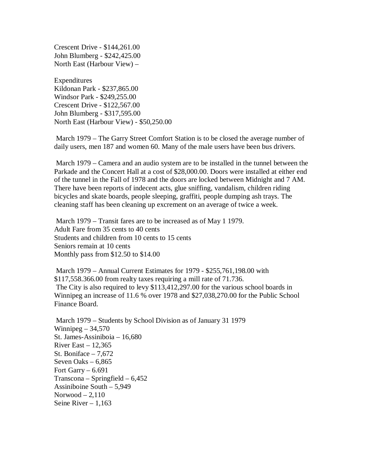Crescent Drive - \$144,261.00 John Blumberg - \$242,425.00 North East (Harbour View) –

Expenditures Kildonan Park - \$237,865.00 Windsor Park - \$249,255.00 Crescent Drive - \$122,567.00 John Blumberg - \$317,595.00 North East (Harbour View) - \$50,250.00

March 1979 – The Garry Street Comfort Station is to be closed the average number of daily users, men 187 and women 60. Many of the male users have been bus drivers.

March 1979 – Camera and an audio system are to be installed in the tunnel between the Parkade and the Concert Hall at a cost of \$28,000.00. Doors were installed at either end of the tunnel in the Fall of 1978 and the doors are locked between Midnight and 7 AM. There have been reports of indecent acts, glue sniffing, vandalism, children riding bicycles and skate boards, people sleeping, graffiti, people dumping ash trays. The cleaning staff has been cleaning up excrement on an average of twice a week.

March 1979 – Transit fares are to be increased as of May 1 1979. Adult Fare from 35 cents to 40 cents Students and children from 10 cents to 15 cents Seniors remain at 10 cents Monthly pass from \$12.50 to \$14.00

March 1979 – Annual Current Estimates for 1979 - \$255,761,198.00 with \$117,558.366.00 from realty taxes requiring a mill rate of 71.736. The City is also required to levy \$113,412,297.00 for the various school boards in Winnipeg an increase of 11.6 % over 1978 and \$27,038,270.00 for the Public School Finance Board.

March 1979 – Students by School Division as of January 31 1979 Winnipeg  $-34,570$ St. James-Assiniboia – 16,680 River East  $-12,365$ St. Boniface – 7,672 Seven Oaks  $-6,865$ Fort Garry  $-6.691$ Transcona – Springfield – 6,452 Assiniboine South – 5,949 Norwood – 2,110 Seine River  $-1,163$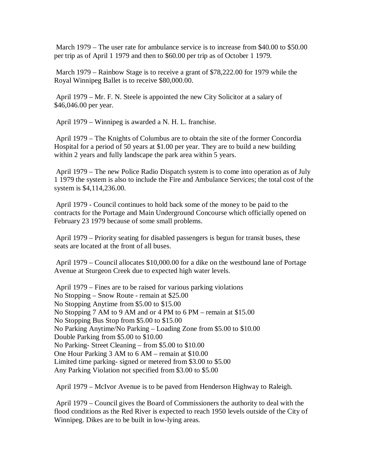March 1979 – The user rate for ambulance service is to increase from \$40.00 to \$50.00 per trip as of April 1 1979 and then to \$60.00 per trip as of October 1 1979.

March 1979 – Rainbow Stage is to receive a grant of \$78,222.00 for 1979 while the Royal Winnipeg Ballet is to receive \$80,000.00.

April 1979 – Mr. F. N. Steele is appointed the new City Solicitor at a salary of \$46,046.00 per year.

April 1979 – Winnipeg is awarded a N. H. L. franchise.

April 1979 – The Knights of Columbus are to obtain the site of the former Concordia Hospital for a period of 50 years at \$1.00 per year. They are to build a new building within 2 years and fully landscape the park area within 5 years.

April 1979 – The new Police Radio Dispatch system is to come into operation as of July 1 1979 the system is also to include the Fire and Ambulance Services; the total cost of the system is \$4,114,236.00.

April 1979 - Council continues to hold back some of the money to be paid to the contracts for the Portage and Main Underground Concourse which officially opened on February 23 1979 because of some small problems.

April 1979 – Priority seating for disabled passengers is begun for transit buses, these seats are located at the front of all buses.

April 1979 – Council allocates \$10,000.00 for a dike on the westbound lane of Portage Avenue at Sturgeon Creek due to expected high water levels.

April 1979 – Fines are to be raised for various parking violations No Stopping – Snow Route - remain at \$25.00 No Stopping Anytime from \$5.00 to \$15.00 No Stopping 7 AM to 9 AM and or 4 PM to 6 PM – remain at \$15.00 No Stopping Bus Stop from \$5.00 to \$15.00 No Parking Anytime/No Parking – Loading Zone from \$5.00 to \$10.00 Double Parking from \$5.00 to \$10.00 No Parking- Street Cleaning – from \$5.00 to \$10.00 One Hour Parking 3 AM to 6 AM – remain at \$10.00 Limited time parking- signed or metered from \$3.00 to \$5.00 Any Parking Violation not specified from \$3.00 to \$5.00

April 1979 – McIvor Avenue is to be paved from Henderson Highway to Raleigh.

April 1979 – Council gives the Board of Commissioners the authority to deal with the flood conditions as the Red River is expected to reach 1950 levels outside of the City of Winnipeg. Dikes are to be built in low-lying areas.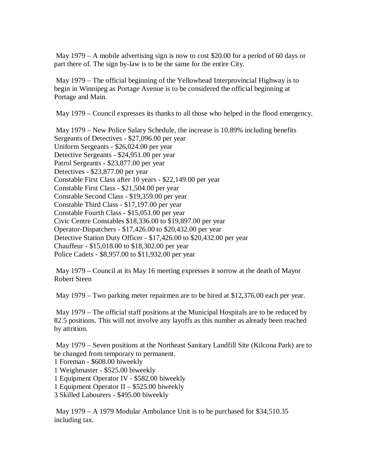May 1979 – A mobile advertising sign is now to cost \$20.00 for a period of 60 days or part there of. The sign by-law is to be the same for the entire City.

May 1979 – The official beginning of the Yellowhead Interprovincial Highway is to begin in Winnipeg as Portage Avenue is to be considered the official beginning at Portage and Main.

May 1979 – Council expresses its thanks to all those who helped in the flood emergency.

May 1979 – New Police Salary Schedule, the increase is 10.89% including benefits Sergeants of Detectives - \$27,096.00 per year Uniform Sergeants - \$26,024.00 per year Detective Sergeants - \$24,951.00 per year Patrol Sergeants - \$23,877.00 per year Detectives - \$23,877.00 per year Constable First Class after 10 years - \$22,149.00 per year Constable First Class - \$21,504.00 per year Constable Second Class - \$19,359.00 per year Constable Third Class - \$17,197.00 per year Constable Fourth Class - \$15,051.00 per year Civic Centre Constables \$18,336.00 to \$19,897.00 per year Operator-Dispatchers - \$17,426.00 to \$20,432.00 per year Detective Station Duty Officer - \$17,426.00 to \$20,432.00 per year Chauffeur - \$15,018.00 to \$18,302.00 per year Police Cadets - \$8,957.00 to \$11,932.00 per year

May 1979 – Council at its May 16 meeting expresses it sorrow at the death of Mayor Robert Steen

May 1979 – Two parking meter repairmen are to be hired at \$12,376.00 each per year.

May 1979 – The official staff positions at the Municipal Hospitals are to be reduced by 82.5 positions. This will not involve any layoffs as this number as already been reached by attrition.

May 1979 – Seven positions at the Northeast Sanitary Landfill Site (Kilcona Park) are to be changed from temporary to permanent.

1 Foreman - \$608.00 biweekly

1 Weighmaster - \$525.00 biweekly

1 Equipment Operator IV - \$582.00 biweekly

1 Equipment Operator II – \$525.00 biweekly

3 Skilled Labourers - \$495.00 biweekly

May 1979 – A 1979 Modular Ambulance Unit is to be purchased for \$34,510.35 including tax.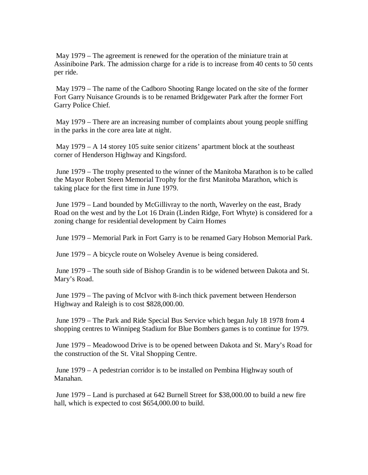May 1979 – The agreement is renewed for the operation of the miniature train at Assiniboine Park. The admission charge for a ride is to increase from 40 cents to 50 cents per ride.

May 1979 – The name of the Cadboro Shooting Range located on the site of the former Fort Garry Nuisance Grounds is to be renamed Bridgewater Park after the former Fort Garry Police Chief.

May 1979 – There are an increasing number of complaints about young people sniffing in the parks in the core area late at night.

May 1979 – A 14 storey 105 suite senior citizens' apartment block at the southeast corner of Henderson Highway and Kingsford.

June 1979 – The trophy presented to the winner of the Manitoba Marathon is to be called the Mayor Robert Steen Memorial Trophy for the first Manitoba Marathon, which is taking place for the first time in June 1979.

June 1979 – Land bounded by McGillivray to the north, Waverley on the east, Brady Road on the west and by the Lot 16 Drain (Linden Ridge, Fort Whyte) is considered for a zoning change for residential development by Cairn Homes

June 1979 – Memorial Park in Fort Garry is to be renamed Gary Hobson Memorial Park.

June 1979 – A bicycle route on Wolseley Avenue is being considered.

June 1979 – The south side of Bishop Grandin is to be widened between Dakota and St. Mary's Road.

June 1979 – The paving of McIvor with 8-inch thick pavement between Henderson Highway and Raleigh is to cost \$828,000.00.

June 1979 – The Park and Ride Special Bus Service which began July 18 1978 from 4 shopping centres to Winnipeg Stadium for Blue Bombers games is to continue for 1979.

June 1979 – Meadowood Drive is to be opened between Dakota and St. Mary's Road for the construction of the St. Vital Shopping Centre.

June 1979 – A pedestrian corridor is to be installed on Pembina Highway south of Manahan.

June 1979 – Land is purchased at 642 Burnell Street for \$38,000.00 to build a new fire hall, which is expected to cost \$654,000.00 to build.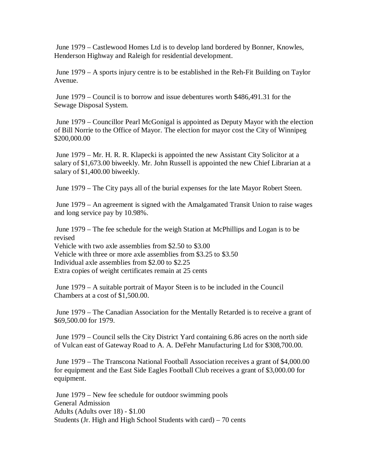June 1979 – Castlewood Homes Ltd is to develop land bordered by Bonner, Knowles, Henderson Highway and Raleigh for residential development.

June 1979 – A sports injury centre is to be established in the Reh-Fit Building on Taylor Avenue.

June 1979 – Council is to borrow and issue debentures worth \$486,491.31 for the Sewage Disposal System.

June 1979 – Councillor Pearl McGonigal is appointed as Deputy Mayor with the election of Bill Norrie to the Office of Mayor. The election for mayor cost the City of Winnipeg \$200,000.00

June 1979 – Mr. H. R. R. Klapecki is appointed the new Assistant City Solicitor at a salary of \$1,673.00 biweekly. Mr. John Russell is appointed the new Chief Librarian at a salary of \$1,400.00 biweekly.

June 1979 – The City pays all of the burial expenses for the late Mayor Robert Steen.

June 1979 – An agreement is signed with the Amalgamated Transit Union to raise wages and long service pay by 10.98%.

June 1979 – The fee schedule for the weigh Station at McPhillips and Logan is to be revised Vehicle with two axle assemblies from \$2.50 to \$3.00 Vehicle with three or more axle assemblies from \$3.25 to \$3.50 Individual axle assemblies from \$2.00 to \$2.25 Extra copies of weight certificates remain at 25 cents

June 1979 – A suitable portrait of Mayor Steen is to be included in the Council Chambers at a cost of \$1,500.00.

June 1979 – The Canadian Association for the Mentally Retarded is to receive a grant of \$69,500.00 for 1979.

June 1979 – Council sells the City District Yard containing 6.86 acres on the north side of Vulcan east of Gateway Road to A. A. DeFehr Manufacturing Ltd for \$308,700.00.

June 1979 – The Transcona National Football Association receives a grant of \$4,000.00 for equipment and the East Side Eagles Football Club receives a grant of \$3,000.00 for equipment.

June 1979 – New fee schedule for outdoor swimming pools General Admission Adults (Adults over 18) - \$1.00 Students (Jr. High and High School Students with card) – 70 cents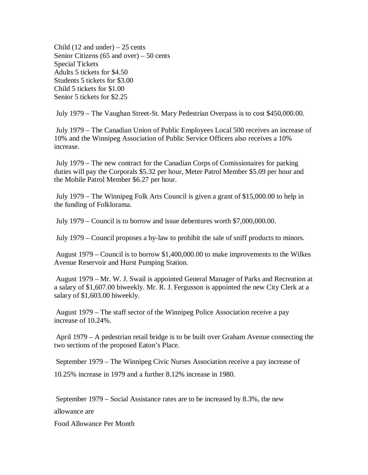Child  $(12 \text{ and under}) - 25 \text{ cents}$ Senior Citizens (65 and over) – 50 cents Special Tickets Adults 5 tickets for \$4.50 Students 5 tickets for \$3.00 Child 5 tickets for \$1.00 Senior 5 tickets for \$2.25

July 1979 – The Vaughan Street-St. Mary Pedestrian Overpass is to cost \$450,000.00.

July 1979 – The Canadian Union of Public Employees Local 500 receives an increase of 10% and the Winnipeg Association of Public Service Officers also receives a 10% increase.

July 1979 – The new contract for the Canadian Corps of Comissionaires for parking duties will pay the Corporals \$5.32 per hour, Meter Patrol Member \$5.09 per hour and the Mobile Patrol Member \$6.27 per hour.

July 1979 – The Winnipeg Folk Arts Council is given a grant of \$15,000.00 to help in the funding of Folklorama.

July 1979 – Council is to borrow and issue debentures worth \$7,000,000.00.

July 1979 – Council proposes a by-law to prohibit the sale of sniff products to minors.

August 1979 – Council is to borrow \$1,400,000.00 to make improvements to the Wilkes Avenue Reservoir and Hurst Pumping Station.

August 1979 – Mr. W. J. Swail is appointed General Manager of Parks and Recreation at a salary of \$1,607.00 biweekly. Mr. R. J. Fergusson is appointed the new City Clerk at a salary of \$1,603.00 biweekly.

August 1979 – The staff sector of the Winnipeg Police Association receive a pay increase of 10.24%.

April 1979 – A pedestrian retail bridge is to be built over Graham Avenue connecting the two sections of the proposed Eaton's Place.

September 1979 – The Winnipeg Civic Nurses Association receive a pay increase of 10.25% increase in 1979 and a further 8.12% increase in 1980.

September 1979 – Social Assistance rates are to be increased by 8.3%, the new

allowance are

Food Allowance Per Month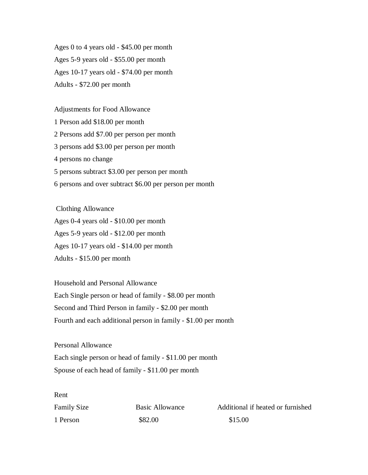Ages 0 to 4 years old - \$45.00 per month Ages 5-9 years old - \$55.00 per month Ages 10-17 years old - \$74.00 per month Adults - \$72.00 per month

Adjustments for Food Allowance

 Person add \$18.00 per month Persons add \$7.00 per person per month persons add \$3.00 per person per month persons no change persons subtract \$3.00 per person per month persons and over subtract \$6.00 per person per month

Clothing Allowance Ages 0-4 years old - \$10.00 per month Ages 5-9 years old - \$12.00 per month Ages 10-17 years old - \$14.00 per month Adults - \$15.00 per month

Household and Personal Allowance Each Single person or head of family - \$8.00 per month Second and Third Person in family - \$2.00 per month Fourth and each additional person in family - \$1.00 per month

Personal Allowance Each single person or head of family - \$11.00 per month Spouse of each head of family - \$11.00 per month

Rent

| Family Size | Basic Allowance | Additional if heated or furnished |
|-------------|-----------------|-----------------------------------|
| 1 Person    | \$82.00         | \$15.00                           |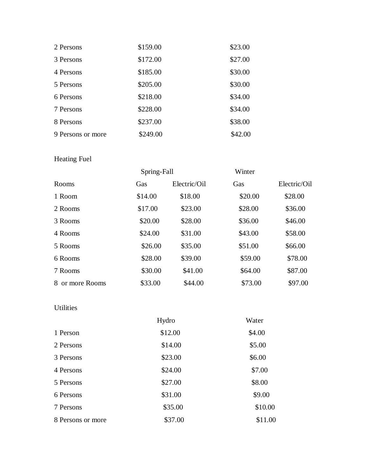| 2 Persons         | \$159.00 | \$23.00 |
|-------------------|----------|---------|
| 3 Persons         | \$172.00 | \$27.00 |
| 4 Persons         | \$185.00 | \$30.00 |
| 5 Persons         | \$205.00 | \$30.00 |
| 6 Persons         | \$218.00 | \$34.00 |
| 7 Persons         | \$228.00 | \$34.00 |
| 8 Persons         | \$237.00 | \$38.00 |
| 9 Persons or more | \$249.00 | \$42.00 |

### Heating Fuel

|                 |         | Spring-Fall  |         |              |
|-----------------|---------|--------------|---------|--------------|
| Rooms           | Gas     | Electric/Oil | Gas     | Electric/Oil |
| 1 Room          | \$14.00 | \$18.00      | \$20.00 | \$28.00      |
| 2 Rooms         | \$17.00 | \$23.00      | \$28.00 | \$36.00      |
| 3 Rooms         | \$20.00 | \$28.00      | \$36.00 | \$46.00      |
| 4 Rooms         | \$24.00 | \$31.00      | \$43.00 | \$58.00      |
| 5 Rooms         | \$26.00 | \$35.00      | \$51.00 | \$66.00      |
| 6 Rooms         | \$28.00 | \$39.00      | \$59.00 | \$78.00      |
| 7 Rooms         | \$30.00 | \$41.00      | \$64.00 | \$87.00      |
| 8 or more Rooms | \$33.00 | \$44.00      | \$73.00 | \$97.00      |

### Utilities

|                   | Hydro   | Water   |
|-------------------|---------|---------|
| 1 Person          | \$12.00 | \$4.00  |
| 2 Persons         | \$14.00 | \$5.00  |
| 3 Persons         | \$23.00 | \$6.00  |
| 4 Persons         | \$24.00 | \$7.00  |
| 5 Persons         | \$27.00 | \$8.00  |
| 6 Persons         | \$31.00 | \$9.00  |
| 7 Persons         | \$35.00 | \$10.00 |
| 8 Persons or more | \$37.00 | \$11.00 |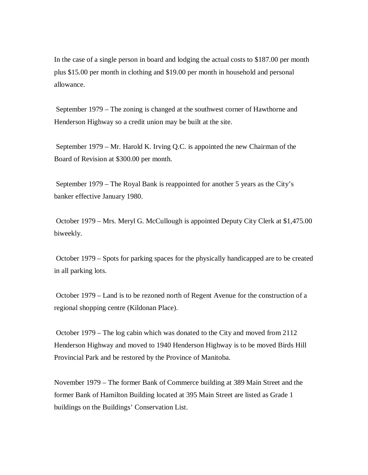In the case of a single person in board and lodging the actual costs to \$187.00 per month plus \$15.00 per month in clothing and \$19.00 per month in household and personal allowance.

September 1979 – The zoning is changed at the southwest corner of Hawthorne and Henderson Highway so a credit union may be built at the site.

September 1979 – Mr. Harold K. Irving Q.C. is appointed the new Chairman of the Board of Revision at \$300.00 per month.

September 1979 – The Royal Bank is reappointed for another 5 years as the City's banker effective January 1980.

October 1979 – Mrs. Meryl G. McCullough is appointed Deputy City Clerk at \$1,475.00 biweekly.

October 1979 – Spots for parking spaces for the physically handicapped are to be created in all parking lots.

October 1979 – Land is to be rezoned north of Regent Avenue for the construction of a regional shopping centre (Kildonan Place).

October 1979 – The log cabin which was donated to the City and moved from 2112 Henderson Highway and moved to 1940 Henderson Highway is to be moved Birds Hill Provincial Park and be restored by the Province of Manitoba.

November 1979 – The former Bank of Commerce building at 389 Main Street and the former Bank of Hamilton Building located at 395 Main Street are listed as Grade 1 buildings on the Buildings' Conservation List.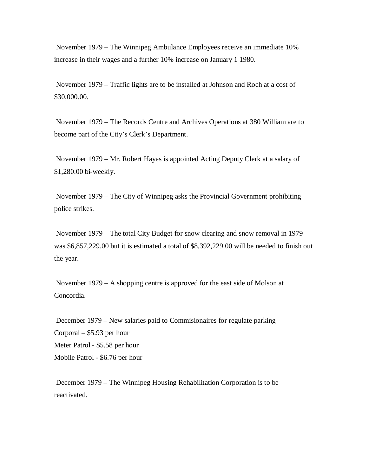November 1979 – The Winnipeg Ambulance Employees receive an immediate 10% increase in their wages and a further 10% increase on January 1 1980.

November 1979 – Traffic lights are to be installed at Johnson and Roch at a cost of \$30,000.00.

November 1979 – The Records Centre and Archives Operations at 380 William are to become part of the City's Clerk's Department.

November 1979 – Mr. Robert Hayes is appointed Acting Deputy Clerk at a salary of \$1,280.00 bi-weekly.

November 1979 – The City of Winnipeg asks the Provincial Government prohibiting police strikes.

November 1979 – The total City Budget for snow clearing and snow removal in 1979 was \$6,857,229.00 but it is estimated a total of \$8,392,229.00 will be needed to finish out the year.

November 1979 – A shopping centre is approved for the east side of Molson at Concordia.

December 1979 – New salaries paid to Commisionaires for regulate parking Corporal – \$5.93 per hour Meter Patrol - \$5.58 per hour Mobile Patrol - \$6.76 per hour

December 1979 – The Winnipeg Housing Rehabilitation Corporation is to be reactivated.